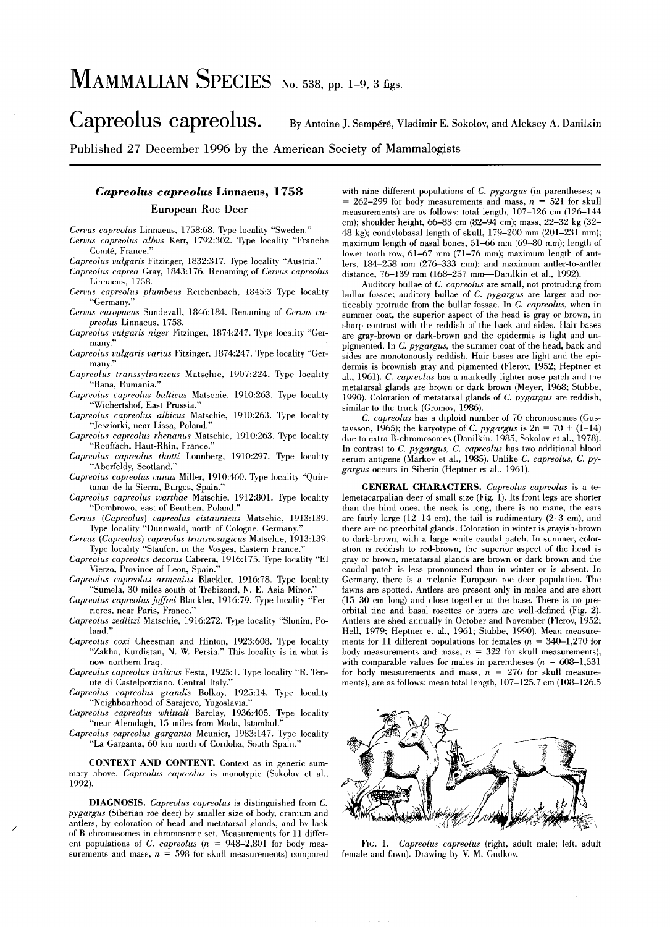# MAMMALIAN SPECIES No. 538, pp. 1-9, 3 figs.

Capreolus capreolus. By Antoine J. Sempéré, Vladimir E. Sokolov, and Aleksey A. Danilkin

Published 27 December 1996 by the American Society of Mammalogists

## *Capreolus capreolus* Linnaeus, 1758

## European Roe Deer

*Cervus capreolus* Linnaeus, 1758:68. Type locality "Sweden." *Cervus capreolus albus* Kerr, 1792:302. Type locality "Franche Comté, France."

*Capreolus vulgaris* Fitzinger, 1832:317. Type locality "Austria."

*Capreolus caprea* Gray, 1843:176. Renaming of *Cervus capreolus*  Linnaeus, 1758.

*Cervus capreolus plumbeus* Reichenbach, 1845:3 Type locality "Germany."

Cervus europaeus Sundevall, 1846:184. Renaming of Cervus ca*preolus* Linnaeus, 1758.

- *Capreolus vulgaris niger* Fitzinger, 1874:247. Type locality "Germany.
- *Capreolus vulgaris varius* Fitzinger, 1874:247. Type locality "Germany.
- *Capreolus transsylvanicus* Matschie, 1907:224. Type locality "'Bana, Rumania."
- *Capreolus capreolus balt ie us* Matschie, 1910:263. Type locality "Wichertshof, East Prussia."
- *Capreolus capreolus albicus* Matschie, 1910:263. Type locality "Jesziorki, near Lissa, Poland."
- *Capreolus capreolus rhenanus* Matschie. 1910:263. Type locality "Rouffach, Haut-Rhin, France."
- *Capreolus capreolus thoui* Lonnberg, 1910:297. Type locality "Aberfeldy, Scotland."
- *Capreolus capreolus canus* Miller, 1910:460. Type locality "Quintanar de la Sierra, Burgos, Spain."
- *Capreolus capreolus warthae* Matschie, 1912:801. Type locality "Dombrowo, east of Beuthen, Poland."
- *Cervus (Capreolus) capreolus cistaunicus* Matschie, 1913:139. Type locality "Dunnwald, north of Cologne, Germany."
- *CeTlJus (Capreolus) capreolus transvosagicus* Matschie, 1913:139. Type locality "Staufen, in the Vosges, Eastern France."
- *Capreolus capreolus decorus* Cabrera, 1916: 175. Type locality "El Vierzo, Province of Leon, Spain."
- *Capreolus capreolus armenius* Blackler, 1916:78. Type locality "Sumela, 30 miles south of Trebizond, N. E. Asia Minor."
- *Capreolus capreolus joffrei* Blackler, 1916:79. Type locality "Ferrieres, near Paris, France."
- *Capreolus zedlitzi* Matschie, 1916:272. Type locality "Slonim, Poland."
- *Capreolus coxi* Cheesman and Hinton, 1923:608. Type locality "Zakho, Kurdistan, N. W. Persia." This locality is in what is now northern Iraq.
- *Capreolus capreolus italicus* Festa, 1925:1. Type locality "R. Tenute di Castelporziano, Central Italy."
- *Capreolus capreolus grandis* Bolkay, 1925:14. Type locality "Neighbourhood of Sarajevo, Yugoslavia."
- *Capreolus capreolus whittali* Barclay, 1936:405. Type locality "near Alemdagh, 15 miles from Moda, Istambul."
- *Capreolus capreolus garganta* Meunier, 1983:147. Type locality "La Garganta, 60 km north of Cordoba, South Spain."

CONTEXT AND CONTENT. Context as in generic summary above. *Capreolus capreolus* is monotypic (Sokoiovet al., 1992).

DIAGNOSIS. *Capreolus capreolus* is distinguished from C. *pygargus* (Siberian roe deer) by smaller size of body, cranium and antlers, by coloration of head and metatarsal glands, and by lack of B-chromosomes in chromosome set. Measurements for 11 different populations of C. *capreolus (n* = 948-2,801 for body measurements and mass,  $n = 598$  for skull measurements) compared

/

with nine different populations of C. *pygargus* (in parentheses; *n*   $= 262-299$  for body measurements and mass,  $n = 521$  for skull measurements) are as follows: total length,  $107-126$  cm  $(126-144)$ cm); shoulder height, 66-83 cm (82-94 cm); mass, 22-32 kg (32-  $48$  kg); condylobasal length of skull,  $179-200$  mm  $(201-231$  mm); maximum length of nasal bones, 51-66 mm (69-80 mm); length of lower tooth row, 61-67 mm (71-76 mm); maximum length of ant-Iers, 184-258 mm (276-333 mm); and maximum antler-to-antler distance, 76-139 mm (168-257 mm-Danilkin et al., 1992).

Auditory bullae of C. *capreolus* are smalI, not protruding from bullar fossae; auditory bullae of C. *pygargus* are larger and noticeably protrude from the bullar fossae. In C. *capreolus,* when in summer coat, the superior aspect of the head is gray or brown, in sharp contrast with the reddish of the back and sides. Hair bases are gray-brown or dark-brown and the epidermis is light and unpigmented. In C. *pygargus,* the summer coat of the head, back and sides are monotonously reddish. Hair bases are light and the epidermis is brownish gray and pigmented (Flerov, 1952; Heptner et al., 1961). C. *capreolus* has a markedly lighter nose patch and the metatarsal glands are brown or dark brown (Meyer, 1968; Stubbe, 1990). Coloration of metatarsal glands of C. *pygargus* are reddish, similar to the trunk (Gromov, 1986).

C. *capreolus* has a diploid number of 70 chromosomes (Gustavsson, 1965); the karyotype of C. *pygargus* is  $2n = 70 + (1-14)$ due to extra B-chromosomes (Danilkin, 1985; Sokoiovet al., 1978). In contrast to C. *pygargus,* C. *capreolus* has two additional blood serum antigens (Markov et al., 1985). Unlike C. *capreolus,* C. *pygargus* occurs in Siberia (Heptner et al., 1961).

GENERAL CHARACTERS. *Capreolus capreolus* is a telemetacarpalian deer of small size (Fig. 1). lts front legs are shorter than the hind ones, the neck is long, there is no mane, the ears are fairly large (12-14 cm), the tail is rudimentary (2-3 cm), and there are no preorbital glands. Coloration in winter is grayish-brown to dark-brown, with a large white caudal patch. In summer, coloration is reddish to red-brown, the superior aspect of the head is gray or brown, metatarsal glands are brown or dark brown and the caudal patch is less pronounced than in winter or is absent. In Germany, there is a melanic European roe deer population. The fawns are spotted. Antlers are present only in males and are short (15-30 cm long) and close together at the base. There is no preorbital tine and basal rosettes or burrs are well-defined (Fig. 2). Antlers are shed annually in October and November (Flerov, 1952; Heli, 1979; Heptner et al., 1961; Stubbe, 1990). Mean measurements for 11 different populations for females ( $n = 340-1,270$  for body measurements and mass,  $n = 322$  for skull measurements). with comparable values for males in parentheses ( $n = 608-1,531$ ) for body measurements and mass,  $n = 276$  for skull measurements), are as follows: mean total length,  $107-125.7$  cm  $(108-126.5)$ 



FIG. 1. *Capreolus capreolus* (right, adult male; left, adult female and fawn). Drawing b) V. M. Gudkov.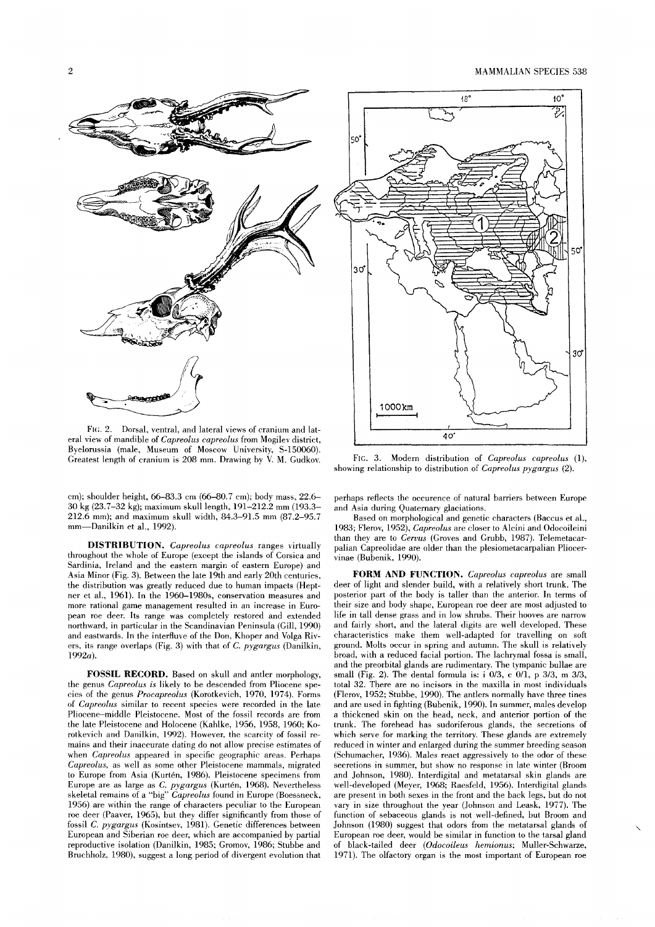

FIG. 2. Dorsal, ventral, and lateral views of cranium and lateral view of mandible of *Capreolus capreolus* from Mogilev district, Byelorussia (male, Museum of Moscow University, S-150060). Greatest length of cranium is 208 mm. Drawing by V. M. Gudkov.

cm); shoulder height, 66-83.3 cm (66-80.7 cm); body mass, 22.6- 30 kg (23.7-32 kg); maximum skull length, 191-212.2 mm (193.3-212.6 mm); and maximum skull width, 84.3-91.5 mm (87.2-95.7 mm-Danilkin et al., 1992).

**DISTRIBUTION.** *Capreolus capreolus* ranges virtually throughout the whole of Europe (except the islands of Corsica and Sardinia, Ireland and the eastern margin of eastern Europe) and Asia Minor (Fig. 3). Between the late 19th and early 20th centuries, the distribution was greatly reduced due to human impacts (Heptner et al., 1961). **In** the 1960-1980s, conservation measures and more rational game management resulted in an increase in European roe deer. lts range was completely restored and extended northward, in particular in the Scandinavian Peninsuia (Gill, 1990) and eastwards. **In** the interfluve of the Don, Khoper and Volga Rivers, its range overlaps (Fig. 3) with that of C. *pygargus* (Danilkin, *1992a).* 

**FOSSIL RECORD.** Based on skull and antler morphology, the genus *Capreolus is* likely to be descended from Pliocene species of the genus *Procapreolus* (Korotkevich, 1970, 1974). Forms of *Capreolus* similar to recent species were recorded in the late Pliocene-middle Pleistocene. Most of the fossil records are from the late Pleistocene and Holocene (Kahlke, 1956, 1958, 1960; Korotkevich and Danilkin, 1992). However, the scarcity of fossil remains and their inaccurate dating do not allow precise estimates of when *Capreolus* appeared in specific geographic areas. Perhaps *Capreolus,* as weil as some other Pleistocene mammais, migrated to Europe from Asia (Kurtén, 1986). Pleistocene specimens from Europe are as large as C. *pygargus* (Kurtén, 1968). Nevertheless skeletal remains of a "big" *Capreolus* found in Europe (Boessneek, 1956) are within the range of characters peculiar to the European roe deer (Paaver, 1965), but they differ significantly from those of fossil C. *pygargus* (Kosintsev, 1981). Genetic differences between European and Siberian roe deer, which are accompanied by partial reproductive isolation (Danilkin, 1985; Gromov, 1986; Stubbe and Bruchholz, 1980), suggest a long period of divergent evolution that



FIG. 3. Modern distribution of *Capreolus capreolus (1),*  showing relationship to distribution of *Capreolus pygargus (2).* 

perhaps reflects the occurenee of natural barriers between Europe and Asia during Quaternary glaciations.

Based on morphological and genetic characters (Baecus et al., 1983; Flerov, 1952), *Capreolus* are closer to Alcini and Odocoileini than they are to *Cervus* (Groves and Grubb, 1987). Telemetacarpalian Capreolidae are older than the plesiometacarpalian Pliocervinae (Bubenik, 1990).

**FORM AND FUNCTION.** *Capreolus capreolus* are small deer of light and slender build, with a relatively short trunk. The posterior part of the body is taller than the anterior. **In** terms of their size and body shape, European roe deer are most adjusted to life in tall dense grass and in low shrubs. Their hooves are narrow and fairly short, and the lateral digits are weil developed. These characteristics make them well-adapted for travelling on soft ground. Molts occur in spring and autumn. The skull is relatively broad, with a reduced facial portion. The lachrymal fossa is smalI, and the preorbital glands are rudimentary. The tympanie bullae are small (Fig. 2). The dental formula is: i *0/3,* c *0/1,* p *3/3,* m *3/3,*  total 32. There are no incisors in the maxilla in most individuals (Flerov, 1952; Stubbe, 1990). The antlers normally have three tines and are used in fighting (Bubenik, 1990). **In** summer, males develop a thickened skin on the head, neck, and anterior portion of the trunk. The forehead has sudoriferous glands, the secretions of which serve for marking the territory. These glands are extremely reduced in winter and enlarged during the summer breeding season (Schumacher, 1936). Males react aggressively to the odor of these secretions in summer, but show no response in late winter (Broom and Johnson, 1980). Interdigital and metatarsal skin glands are well-developed (Meyer, 1968; Raesfeld, 1956). Interdigital glands are present in both sexes in the front and the back legs, but do not vary in size throughout the year (Johnson and Leask, 1977). The function of sebaceous glands is not well-defined, but Broom and Johnson (1980) suggest that odors from the metatarsal glands of European roe deer, would be similar in function to the tarsal gland of black-tailed deer *(Odocoileus hemionus;* Muller-Schwarze, 1971). The olfactory organ is the most important of European roe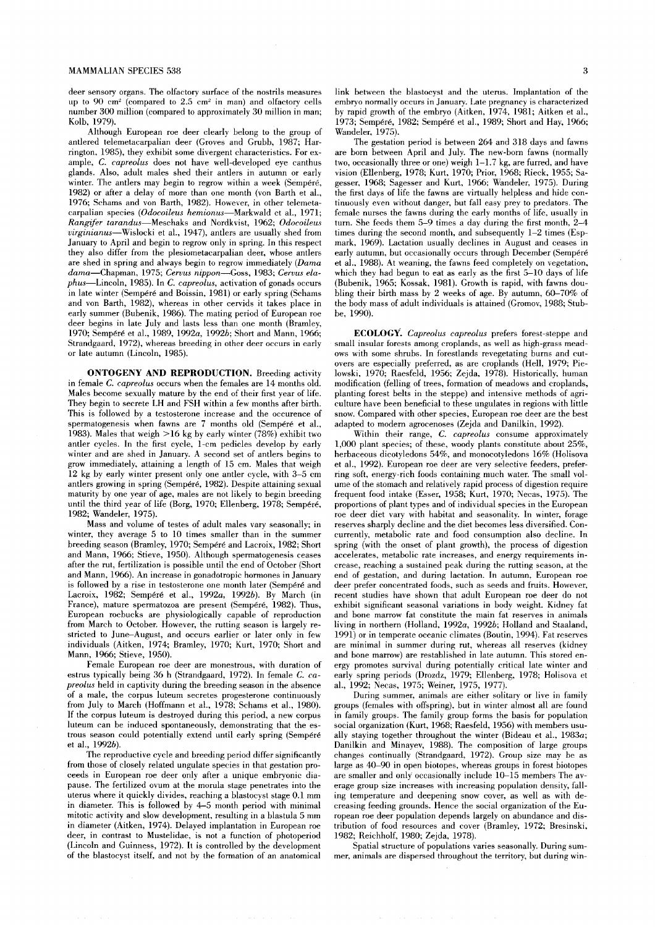deer sensory organs. The olfactory surface of the nostrils measures up to 90 cm' (compared to 2.5 cm' in man) and olfactory cells number 300 million (compared to approximately 30 million in man; Kolb, 1979).

Although European roe deer clearly belong to the group of antlered telemetacarpalian deer (Groves and Grubb, 1987; Harrington, 1985), they exhibit some divergent characteristics. For example, C. *capreolus* does not have well-developed eye canthus glands. AIso, adult males shed their antlers in autumn or early winter. The antlers may begin to regrow within a week (Sempéré, 1982) or after a delay of more than one month (von Barth et al., 1976; Schams and von Barth, 1982). However, in other telemetacarpalian species *(Odocoileus hemionus-Markwald* et al., 1971; *Rangifer tarandus-Meschaks* and Nordkvist, 1962; *Odocoileus virginianus-Wislocki* et al., 1947), antlers are usually shed from January to April and begin to regrow only in spring. In this respect they also differ from the plesiometacarpalian deer, whose antlers are shed in spring and always begin to regrow immediately *(Dama dama-Chapman,* 1975; *Cervus nippon-Goss,* 1983; *Cervus elaphus-Lincoln,* 1985). In C. *capreolus,* activation of gonads occurs in late winter (Sempéré and Boissin, 1981) or early spring (Schams and von Barth, 1982), whereas in other cervids it takes place in early summer (Bubenik, 1986). The mating period of European roe deer begins in late July and lasts less than one month (Bramley, 1970; Sempéré et al., 1989, *1992a, 1992b;* Short and Mann, 1966; Strandgaard, 1972), whereas breeding in other deer occurs in early or late autumn (Lincoln, 1985).

**ONTOGENY AND REPRODUCTION.** Breeding activity in female C. *capreolus* occurs when the females are 14 months old. Males become sexually mature by the end of their first year of life. They begin to secrete LH and FSH within a few months after birth. This is followed by a testosterone increase and the occurence of spermatogenesis when fawns are 7 months old (Sempéré et al., 1983). Males that weigh > 16 kg by early winter (78%) exhibit two antler cycles. In the first cycle, I-cm pedicles develop by early winter and are shed in January. A second set of antlers begins to grow immediately, attaining a length of 15 cm. Males that weigh 12 kg by early winter present only one antler cycle, with 3-5 cm antlers growing in spring (Sempéré, 1982). Despite attaining sexual maturity by one year of age, males are not likely to begin breeding until the third year of life (Borg, 1970; Ellenberg, 1978; Sempéré, 1982; Wandeler, 1975).

Mass and volume of testes of adult males vary seasonally; in winter, they average 5 to 10 times smaller than in the summer breeding season (Bramley, 1970; Sempéré and Lacroix, 1982; Short and Mann, 1966; Stieve, 1950). Although spermatogenesis ceases after the rut, fertilization is possible until the end of October (Short and Mann, 1966). An increase in gonadotropic horrnones in January is followed by a rise in testosterone one month later (Sempéré and Lacroix, 1982; Sempéré et al., *1992a, 1992b).* By March (in France), mature spermatozoa are present (Sempéré, 1982). Thus, European roebucks are physiologically capable of reproduction from March to October. However, the rutting season is largely restricted to June-August, and occurs earlier or later only in few individuals (Aitken, 1974; Bramley, 1970; Kurt, 1970; Short and Mann, 1966; Stieve, 1950).

Female European roe deer are monestrous, with duration of estrus typically being 36 h (Strandgaard, 1972). In female C. ca*preolus* held in captivity during the breeding season in the absence of a male, the corpus luteum secretes progesterone continuously from July to March (Hoffmann et al., 1978; Schams et al., 1980). If the corpus luteum is destroyed during this period, a new corpus luteum can be induced spontaneously, demonstrating that the estrous season could potentially extend until early spring (Sempéré et al., *1992b).* 

The reproductive cycle and breeding period differ significantly from those of closely related ungulate species in that gestation proceeds in European roe deer only after a unique embryonic diapause. The fertilized ovum at the morula stage penetrates into the uterus where it quickly divides, reaching a blastocyst stage 0.1 mm in diameter. This is followed by 4-5 month period with minimal mitotic activity and slow development, resulting in a blastula 5 mm in diameter (Aitken, 1974). Delayed implantation in European roe deer, in contrast to Mustelidae, is not a function of photoperiod (Lincoln and Guinness, 1972). It is controlled by the development of the blastocyst itself, and not by the formation of an anatomical link between the blastocyst and the uterus. Implantation of the embryo normally occurs in January. Late pregnancy is characterized by rapid growth of the embryo (Aitken, 1974, 1981; Aitken et al., 1973; Sempéré, 1982; Sempéré et al., 1989; Short and Hay, 1966; Wandeler, 1975).

The gestation period is between 264 and 318 days and fawns are bom between April and July. The new-born fawns (normally two, occasionally three or one) weigh 1-1.7 kg, are furred, and have vision (Ellenberg, 1978; Kurt, 1970; Prior, 1968; Rieck, 1955; Sagesser, 1968; Sagesser and Kurt, 1966; Wandeler, 1975). During the first days of life the fawns are virtually heipiess and hide continuously even without danger, but fall easy prey to predators. The female nurses the fawns during the early months of life, usually in turn. She feeds them 5-9 times a day during the first month, 2-4 times during the second month, and subsequently  $1-2$  times (Espmark, 1969). Lactation usually declines in August and ceases in early autumn, but occasionally occurs through December (Sempéré et al., 1988). At weaning, the fawns feed completely on vegetation, which they had begun to eat as early as the first 5-10 days of life (Bubenik, 1965; Kossak, 1981). Growth is rapid, with fawns doubling their birth mass by 2 weeks of age. By autumn, 60-70% of the body mass of adult individuals is attained (Gromov, 1988; Stubbe, 1990).

**ECOLOGY.** *Capreolus capreolus* prefers forest-steppe and small insular forests among croplands, as weil as high-grass meadows with some shrubs. In forestlands revegetating burns and cutovers are especially preferred, as are croplands (Heli, 1979; Pielowski, 1970; Raesfeld, 1956; Zejda, 1978). Historically, human modification (felling of trees, formation of meadows and croplands, planting forest belts in the steppe) and intensive methods of agriculture have been beneficial to these ungulates in regions with little snow. Compared with other species, European roe deer are the best adapted to modern agrocenoses (Zejda and Danilkin, 1992).

Within their range, C. capreolus consume approximately 1,000 plant species; of these, woody plants constitute about 25%, herbaceous dicotyledons 54%, and monocotyledons 16% (Holisova et al., 1992). European roe deer are very selective feeders, preferring soft, energy-rich foods containing much water. The small volume of the stomach and relatively rapid process of digestion require frequent food intake (Esser, 1958; Kurt, 1970; Necas, 1975). The proportions of plant types and of individual species in the European roe deer diet vary with habitat and seasonality. In winter, forage reserves sharply decline and the diet becomes less diversified. Concurrently, metabolic rate and food consumption also decline. In spring (with the onset of plant growth), the process of digestion accelerates, metabolic rate increases, and energy requirements increase, reaching a sustained peak during the rutting season, at the end of gestation, and during lactation. In autumn, European roe deer prefer concentrated foods, such as seeds and fruits. However, recent studies have shown that adult European roe deer do not exhibit significant seasonal variations in body weight. Kidney fat and bone marrow fat constitute the main fat reserves in animals living in northern (Holland, *1992a, 1992b;* Holland and Staaland, 1991) or in temperate oceanic climates (Boutin, 1994). Fat reserves are minimal in summer during rut, whereas all reserves (kidney and bone marrow) are restablished in late autumn. This stored energy promotes survival during potentially critical late winter and early spring periods (Drozdz, 1979; Ellenberg, 1978; Holisova et al., 1992; Necas, 1975; Weiner, 1975, 1977).

During summer, animals are either solitary or live in family groups (females with offspring), but in winter almost all are found in family groups. The family group forms the basis for population social organization (Kurt, 1968; Raesfeld, 1956) with members usually staying together throughout the winter (Bideau et al., *1983a;*  Danilkin and Minayev, 1988). The composition of large groups changes continually (Strandgaard, 1972). Group size may be as large as 40-90 in open biotopes, whereas groups in forest biotopes are smaller and only occasionally include 10-15 members The average group size increases with increasing population density, falling temperature and deepening snow cover, as weil as with decreasing feeding grounds. Hence the social organization of the European roe deer population depends largely on abundance and distribution of food resources and cover (Bramley, 1972; Bresinski, 1982; Reichholf, 1980; Zejda, 1978).

Spatial structure of populations varies seasonally. During summer, animals are dispersed throughout the territory, but during win-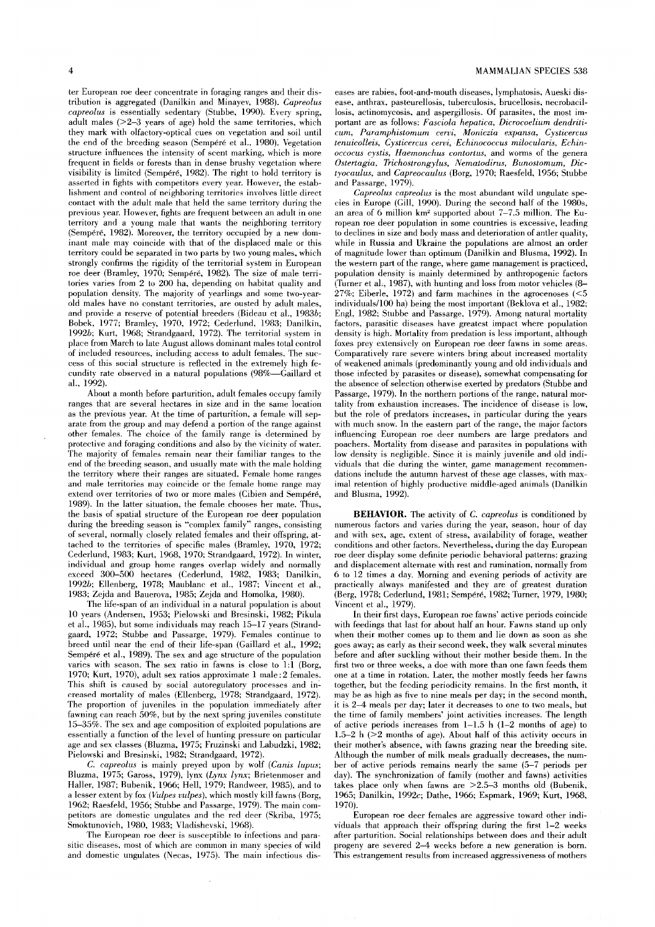ter European roe deer eoncentrate in foraging ranges and their distribution is aggregated (Danilkin and Minayev, 1988). *Capreolus capreolus* is essentially sedentary (Stubbe, 1990). Every spring, adult males  $(>=2-3$  years of age) hold the same territories, which they mark with olfaetory-optieal cues on vegetation and soil until the end of the breeding season (Sempéré et al., 1980). Vegetation structure influences the intensity of scent marking, whieh is more frequent in fields or forests than in dense brushy vegetation where visibility is limited (Sempéré, 1982). The right to hold territory is asserted in fights with competitors every year. However, the establishment and control of neighboring territories involves little direct contact with the adult male that held the same territory during the previous year. However, fights are frequent between an adult in one territory and a young male that wants the neighboring territory (Sempéré, 1982). Moreover, the territory occupied by a new dominant male may coincide with that of the displaced male or this territory could be separated in two parts by two young males, which strongly confirms the rigidity of the territorial system in European roe deer (Bramley, 1970; Sempéré, 1982). The size of male territories varies from 2 to 200 ha, depending on habitat quality and population density. The majority of yearlings and some two-yearold males have no constant territories, are ousted by adult males, and provide a reserve of potential breeders (Bideau et al., *1983b;*  Bobek, 1977; Bramley, 1970, 1972; Cederlund, 1983; Danilkin, *1992b;* Kurt, 1968; Strandgaard, 1972). The territorial system in place from March to late August allows dominant males total control of included resources, including access to adult females. The success of this social structure is reflected in the extremely high fecundity rate observed in a natural populations (98%-Gaillard et al., 1992).

About a month before parturition, adult females occupy family ranges that are several hectares in size and in the same location as the previous year. At the time of parturition, a female wil! separate from the group and may defend a portion of the range against other females. The choice of the family range is determined by protective and foraging conditions and also by the vicinity of water. The majority of females remain near their familiar ranges to the end of the breeding season, and usually mate with the male holding the territory where their ranges are situated. Female home ranges and male territories may coincide or the female home range may extend over territories of two or more males (Cibien and Sempéré, 1989). In the latter situation, the female chooses her mate. Thus, the basis of spatial strueture of the European roe deer population during the breeding season is "complex family" ranges, eonsisting of several, normally closely related females and their offspring, attached to the territories of specific males (Bramley, 1970, 1972; Cederlund, 1983; Kurt, 1968, 1970; Strandgaard, 1972). In winter, individual and group home ranges overlap widely and normally exceed 300-500 hectares (Cederlund, 1982, 1983; Danilkin, *1992b;* Ellenberg, 1978; Maublanc et al., 1987; Vincent et al., 1983; Zejda and Bauerova, 1985; Zejda and Homolka, 1980).

The life-span of an individual in a natural population is about 10 years (Andersen, 1953; Pielowski and Bresinski, 1982; Pikuia et al., 1985), but some individuals may reach 15-17 years (Strandgaard, 1972; Stubbe and Passarge, 1979). Females continue to breed until near the end of their life-span (Gaillard et al., 1992; Sempéré et al., 1989). The sex and age strueture of the population varies with season. The sex ratio in fawns is close to  $1:1$  (Borg, 1970; Kurt, 1970), adult sex ratios approximate 1 male: 2 females. This shift is caused by social autoregulatory processes and increased mortality of males (Ellenberg, 1978; Strandgaard, 1972). The proportion of juveniles in the population immediately after fawning ean reaeh 50%, but by the next spring juveniles constitute 15-35%. The sex and age composition of exploited populations are essentially a function of the level of hunting pressure on particular age and sex classes (Bluzma, 1975; Fruzinski and Labudzki, 1982; Pielowski and Bresinski, 1982; Strandgaard, 1972).

C. *capreolus* is mainly preyed upon by wolf *(Canis lupus;*  Bluzma, 1975; Gaross, 1979), lynx *(Lynx lynx;* Brietenmoser and Haller, 1987; Bubenik, 1966; Heli, 1979; Randweer, 1985), and to a lesser extent by fox *(Vulpes vulpes)*, which mostly kill fawns (Borg, 1962; Raesfeld, 1956; Stubbe and Passarge, 1979). The main competitors are domestie ungulates and the red deer (Skriba, 1975; Smoktunovich, 1980, 1983; Vladishevski, 1968).

The European roe deer is suseeptible to infections and parasitie diseases, most of which are eommon in many species of wild and domestic ungulates (Neeas, 1975). The main infectious diseases are rabies, foot-and-mouth diseases, Iymphatosis, Aueski disease, anthrax, pasteurellosis, tuberculosis, brueellosis, neerobaeillosis, actinomycosis, and aspergillosis. Of parasites, the most important are as follows: *Fasciola hepatica, Dicrocoelium dendriticum, Paramphistomum cervi, Moniczia expansa, Cysticercus tenuicolleis, Cysticercus cervi, Echinococcus milocularis, Echinoccocus cystis, Haemonchus contortus,* and worms of the genera *Ostertagia, Trichostrongylus, Nematodirus, Bunostomum, Dictyomulus,* and *Capreocaulus* (Borg, 1970; Raesfeld, 1956; Stubbe and Passarge, 1979).

*Capreolus capreolus* is the most abundant wild ungulate species in Europe (Gil!, 1990). During the seeond half of the 1980s, an area of 6 million km' supported about 7-7.5 million. The European roe deer population in some countries is excessive, leading to declines in size and body mass and deterioration of antler quality, while in Russia and Ukraine the populations are almost an order of magnitude lower than optimum (Danilkin and Blusma, 1992). In the western part of the range, where game management is practiced, population density is mainly determined by anthropogenic factors (Turner et al., 1987), with hunting and loss from motor vehicles (8- 27%; Eiberle, 1972) and farm machines in the agrocenoses  $(<5$ individuals/100 ha) being the most important (Beklova et al., 1982; Engl, 1982; Stubbe and Passarge, 1979). Among natural mortality factors, parasitic diseases have greatest impact where population density is high. Mortality from predation is less important, although foxes prey extensively on European roe deer fawns in some areas. Comparatively rare severe winters bring about increased mortality of weakened animals (predominantly young and old individuals and those infected by parasites or disease), somewhat eompensating for the absence of seleetion otherwise exerted by predators (Stubbe and Passarge, 1979). In the northern portions of the range, natural mortality from exhaustion increases. The incidence of disease is low, but the role of predators increases, in particular during the years with mueh snow. In the eastern part of the range, the major factors influencing European roe deer numbers are large predators and poachers. Mortality from disease and parasites in populations with low density is negligible. Since it is mainly juvenile and old individuals that die during the winter, game management recommendations include the autumn harvest of these age classes, with maximal retention of highly productive middle-aged animals (Danilkin and Blusma, 1992).

**BEHAVlOR.** The activity of C. *capreolus* is conditioned by numerous factors and varies during the year, season, hour of day and with sex, age, extent of stress, availability of forage, weather conditions and other factors. Nevertheless, during the dav European roe deer display some definite periodic behavioral patterns: grazing and dis placement alternate with rest and rumination, normally from 6 to 12 times a day. Morning and evening periods of activity are practically always manifested and they are of greatest duration (Berg, 1978; Cederlund, 1981; Sempéré, 1982; Turner, 1979, 1980; Vincent et al., 1979).

In their first days, European roe fawns' aetive periods coincide with feedings that last for about half an hour. Fawns stand up only when their mother comes up to them and lie down as soon as she goes away; as early as their second week, they walk several minutes before and after suckling without their mother beside them. In the first two or three weeks, a doe with more than one fawn feeds them one at a time in rotation. Later, the mother mostly feeds her fawns together, but the feeding periodicity remains. In the first month, it may be as high as five to nine meals per day; in the second month, it is 2-4 meals per dav; later it decreases to one to two meals, but the time of family members' joint activities increases. The length of active periods increases from  $1-1.5$  h  $(1-2$  months of age) to 1.5-2 h  $($  > 2 months of age). About half of this activity occurs in their mother's absence, with fawns grazing near the breeding site. Although the number of milk meals gradually deereases, the number of aetive periods remains nearly the same (5-7 periods per day). The synchronization of family (mother and fawns) activities takes place only when fawns are  $>2.5-3$  months old (Bubenik, 1965; Danilkin, *1992c;* Dathe, 1966; Espmark, 1969; Kurt, 1968, 1970).

European roe deer females are aggressive toward other individuals that approach their offspring during the first 1-2 weeks after parturition. Social relationships between does and their adult progeny are severed 2-4 weeks before a new generation is born. This estrangement results from increased aggressiveness of mothers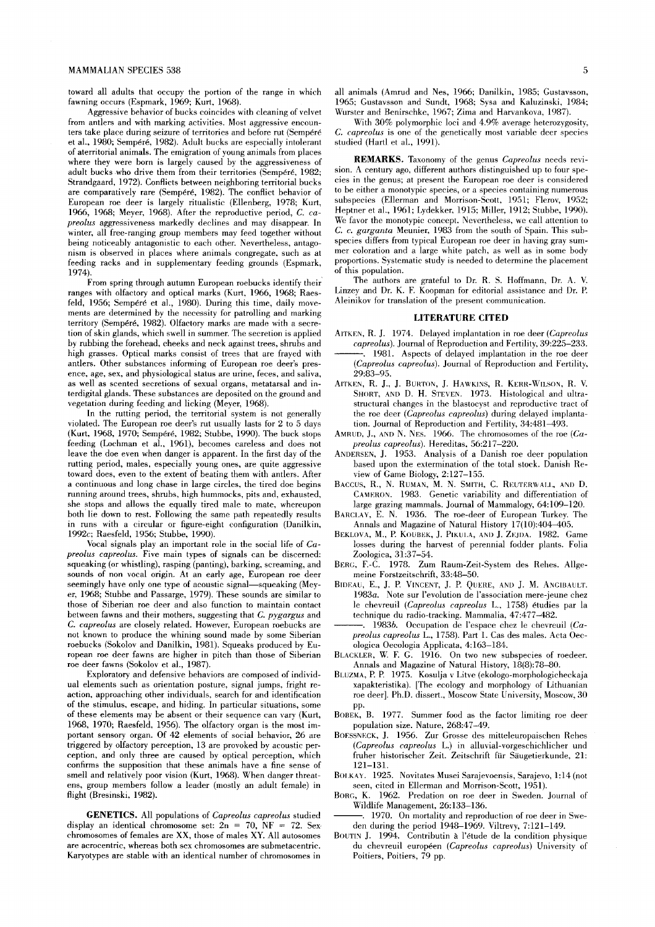toward all adults that occupy the portion of the range in which fawning occurs (Espmark, 1969; Kurt, 1968).

Aggressive behavior of bucks coincides with cleaning of velvet from antlers and with marking activities. Most aggressive encounters take place during seizure of territories and before rut (Sempéré et al., 1980; Sempéré, 1982). Adult bucks are especially intolerant of aterritorial animals. The emigration of young animals from places where they were born is largely caused by the aggressiveness of adult buckswho drive them from their territories (Sempéré, 1982; Strandgaard, 1972). Conflicts between neighboring territorial bucks are comparatively rare (Sempéré, 1982). The conflict behavior of European roe deer is largely ritualistic (Ellenberg, 1978; Kurt, 1966, 1968; Meyer, 1968). After the reproductive period, *C. capreolus* aggressiveness markedly declines and may disappear. In winter, all free-ranging group members may feed together without being noticeably antagonistic to each other. Nevertheless, antagonism is observed in places where animals congregate, such as at feeding racks and in supplementary feeding grounds (Espmark, 1974).

From spring through autumn European roebucks identify theirranges with olfactory and optical marks (Kurt, 1966, 1968; Raesfeld, 1956; Sempéré et al., 1980). During this time, daily movements are determined by the necessity for patrolling and marking territory (Sempéré, 1982). Olfactory marks are made with a secretion of skin glands, which swell in summer. The secretion is applied by rubbing the forehead, cheeks and neck against trees, shrubs and high grasses. Optical marks consist of trees that are frayed with antlers. Other substances informing of European roe deer's presence, age, sex, and physiological status are urine, feces, and saliva, as weil as scented secretions of sexual organs, metatarsal and interdigital glands. These substances are deposited on the ground and vegetation during feeding and licking (Meyer, 1968).

In the rutting period, the territorial system is not generally violated. The European roe deer's rut usually lasts for 2 to 5 days (Kurt, 1968, 1970; Sempéré, 1982; Stubbe, 1990). The buck stops feeding (Lochman et al., 1961), becomes careless and does not leave the doe even when danger is apparent. In the first day of the rutting period, males, especially young ones, are quite aggressive toward does, even to the extent of beating them with antlers. After a continuous and long chase in large circles, the tired doe begins running around trees, shrubs, high hummocks, pits and, exhausted, she stops and allows the equally tired male to mate, whereupon both' lie down to rest. Following the same path repeatedly results in runs with a circular or figure-eight configuration (Danilkin, *1992c;* Raesfeld, 1956; Stubbe, 1990).

Vocal signals play an important role in the social life of *Capreolus capreolus.* Five main types of signals can be discerned: squeaking (or whistling), rasping (panting), barking, screaming, and sounds of non vocal origin. At an early age, European roe deer seemingly have only one type of acoustic signal-squeaking (Meyer, 1968; Stubbe and Passarge, 1979). These sounds are similar to those of Siberian roe deer and also function *to* maintain contact between fawns and their mothers, suggesting that C. *pygargus* and C. *capreolus* are cIosely related. However, European roebucks are not known to produce the whining sound made by some Siberian roebucks (Sokolov and Danilkin, 1981). Squeaks produced by European roe deer fawns are higher in pitch than those of Siberian roe deer fawns (Sokoiovet al., 1987).

Exploratory and defensive behaviors are composed of individual elements such as orientation posture, signal jumps, fright reaction, approaching other individuals, search for and identification of the stimulus, escape, and hiding. In particular situations, some of these elements may be absent or their sequence can vary (Kurt, 1968, 1970; Raesfeld, 1956). The olfactory organ is the most important sensory organ. Of 42 elements of social behavior, 26 are triggered by olfactory perception, 13 are provoked by acoustic perception, and only three are caused by optical perception, which confirms the supposition that these animals have a fine sense of smell and relatively poor vision (Kurt, 1968). When danger threatens, group members follow a leader (mostly an adult female) in flight (Bresinski, 1982).

**GENETICS.** All populations of *Capreolus capreolus* studied display an identical chromosome set:  $2n = 70$ , NF = 72. Sex chromosomes of females are XX, those of males XY. All autosomes are acrocentric, whereas both sex chromosomes are submetacentric. Karyotypes are stabie with an identical number of chromosomes in all animals (Amrud and Nes, 1966; Danilkin, 1985; Gustavsson, 1965; Gustavsson and Sundt, 1968; Sysa and Kaluzinski, 1984; Wurster and Benirschke, 1967; Zima and Harvankova, 1987).

With 30% polymorphic loci and 4.9% average heterozygosity, C. *capreolus* is one of the genetically most variabie deer species studied (Hartl et al., 1991).

**REMARKS.** Taxonomy of the genus *Capreolus* needs revision. A century ago, different authors distinguished up to four species in the genus; at present the European roe deer is considered to be either a monotypic species, or a species containing numerous subspecies (Elierman and Morrison-Scott, 1951; Flerov, 1952; Heptner et al., 1961; Lydekker, 1915; Miller, 1912; Stubbe, 1990). We favor the monotypic concept. Nevertheless, we call attention to C. c. *garganta* Meunier, 1983 from the south of Spain. This subspecies differs from typical European roe deer in having gray summer coloration and a large white pateh, as weil as in some body proportions. Systematic study is needed to determine the placement of this population.

The authors are grateful to Dr. R. S. Hoffmann, Dr. A. V. Linzey and Dr. K. F. Koopman for editorial assistance and Dr. P. Aleinikov for translation of the present communication.

### **LITERATURE CITED**

- AlTKEN, R. 1. 1974. Delayed implantation in roe deer *(Capreolus capreolus*). Journal of Reproduction and Fertility, 39:225-233.
- . 1981. Aspects of delayed implantation in the roe deer (Capreolus capreolus). Journal of Reproduction and Fertility, 29:83-95.
- AITKEN, R. J., J. BURTON, J. HAWKINS, R. KERR-WILSON, R. V. SHORT, AND D. H. STEVEN. 1973. Histological and ultrastructural changes in the blastocyst and reproductive tract of the roe deer *(Capreolus capreolus)* during delayed implantation. Journal of Reproduction and Fertility, 34:481-493.
- AMRUD, ]., AND N. NES. 1966. The chromosomes of the roe *(Capreolus capreolus).* Hereditas, 56:217-220.
- ANDERSEN, 1. 1953. Analysis of a Danish roe deer population based upon the extermination of the total stock. Danish Review of Game Biology, 2:127-155.
- BACCUS, R., N. RUMAN, M. N. SMITH, C. REUTERWALL, AND D. CAMERON. 1983. Genetic variability and differentiation of large grazing mammals. Journal of Mammalogy, 64:109-120.
- BARCLAY, E. N. 1936. The roe-deer of European Turkey. The Annals and Magazine of Natural History 17(10):404-405.
- BEKLOVA, M., P. KOUBEK, J. PIKULA, AND J. ZEJDA. 1982. Game losses during the harvest of perennial fodder plants. Folia Zoologica, 31:37-54.
- BERG, F.-C. 1978. Zum Raum-Zeit-System des Rehes. Aligemeine Forstzeitschrift, 33:48-50.
- BIDEAU, E., J. P. VINCENT, J. P. QUERE, AND J. M. ANGIBAULT. *1983a.* Note sur I'evolution de I'association mere-jeune chez Ie chevreuil *(Capreolus capreolus* L., 1758) étudies par la technique du radio-tracking. Mammalia, 47:477-482.
- 1983b. Occupation de l'espace chez le chevreuil *(Capreolus capreolus* L., 1758). Part 1. Cas des males. Acta Oecologica Oecologia Applicata, 4:163-184.
- BLACKLER, W. F. G. 1916. On two new subspecies of roedeer. Annals and Magazine of Natural History, 18(8):78-80.
- BLUZMA, P. P. 1975. Kosulja v Litve (ekologo-morphologicheckaja xapakteristika). [The ecology and morphology of Lithuanian roe deer]. Ph.D. dissert., Moscow State University, Moscow, 30 pp.
- BOBEK, B. 1977. Summer food as the factor limiting roe deer population size. Nature, 268:47-49.
- BOESSNECK, J. 1956. Zur Grosse des mitteleuropaischen Rehes *(Capreolus capreolus* L.) in alluvial-vorgeschichlicher und fruher historischer Zeit. Zeitschrift für Säugetierkunde, 21: 121-131.
- BOLKAY. 1925. Novitates Musei Sarajevoensis, Sarajevo, 1:14 (not seen, cited in Elierman and Morrison-Scott, 1951).
- BORG, K. 1962. Predation on roe deer in Sweden. Journal of Wildlife Management, 26:133-136.
- 1970. On mortality and reproduction of roe deer in Sweden during the period 1948-1969. Viltrevy, 7:121-149.
- BOUTIN J. 1994. Contributin à l'étude de la condition physique du chevreuil européen *(Capreolus capreolus)* University of Poitiers, Poitiers, 79 pp.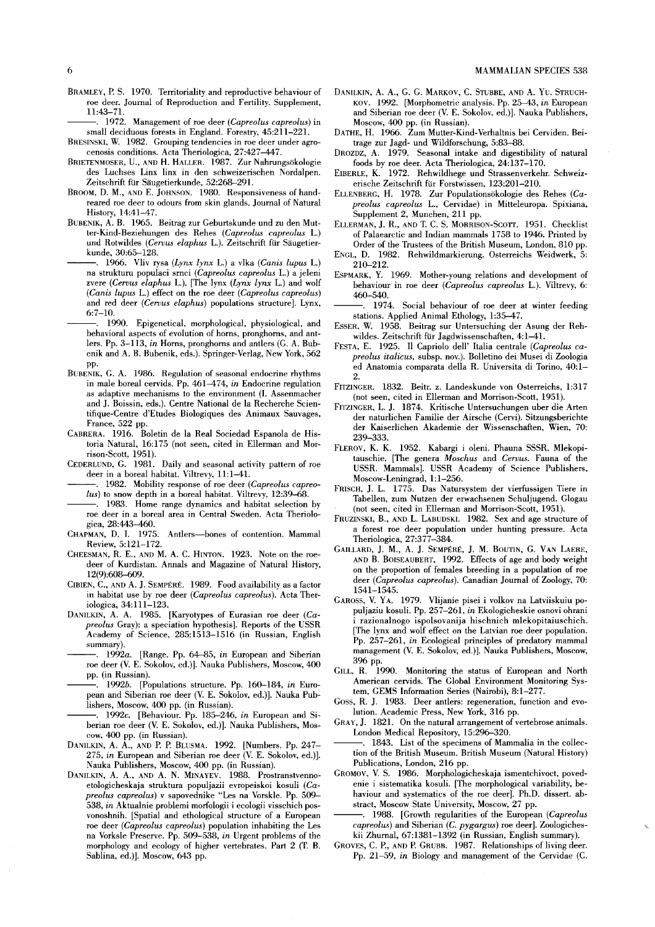1972. Management of roe deer *(Capreolus capreolus)* in small deciduous forests in England. Forestry, 45:211-221.

- BRESINSKI, W. 1982. Grouping tendencies in roe deer under agrocenosis conditions. Acta Theriologica, 27:427-447.
- BRIETENMOSER, U., AND H. HALLER. 1987. Zur Nahrungsökologie des Luchses Linx linx in den schweizerischen Nordalpen. Zeitschrift für Säugetierkunde, 52:268-291.
- BROOM, D. M., AND E. JOHNSON. 1980. Responsiveness of handreared roe deer to odours from skin glands. Journal of Natural History, 14:41-47.
- BUBENIK, A. B. 1965. Beitrag zur Geburtskunde und zu den Mutter-Kind-Beziehungen des Rehes *(Capreolus capreolus* 1.) und Rotwildes *(Cerous elaphus* 1.). Zeitschrift für Säugetierkunde, 30:65-128.
	- ---. 1966. Vii v rysa *(Lynx lynx* 1.) a vlka *(Canis lupus* 1.) na strukturu populaci srnci *(Capreolus capreolus* 1.) a jeleni zvere *(Cerous elaphus* 1.). [The lynx *(Lynx lynx* 1.) and wolf *(Canis lupus L.)* effect on the roe deer *(Capreolus capreolus)* and red deer *(Cerous elaphus)* populations structure). Lynx, 6:7-10.
- 1990. Epigenetical, morphological, physiological, and behavioral aspects of evolution of horns, pronghorns, and ant-Iers. Pp. 3-113, *in* Horns, pronghorns and anders (G. A. Bubenik and A. B. Bubenik, eds.). Springer-Verlag, New York, 562 pp.
- BUBENIK, G. A. 1986. Regulation of seasonal endocrine rhythms in male boreal cervids. Pp. 461-474, *in* Endocrine regulation as adaptive mechanisms to the environment (I. Assenmacher and J. Boissin, eds.). Centre National de la Recherche Scientifique-Centre d'Etudes Biologiques des Animaux Sauvages, France, 522 pp.
- CABRERA. 1916. Boletin de la Real Sociedad Espanola de Historia Natural, 16:175 (not seen, cited in Ellerman and Morrison-Scott, 1951).
- CEDERLUND, G. 1981. Daily and seasonal activity pattern of roe deer in a boreal habitat. Viltrevy, 11:1-41.
- 1982. Mobility response of roe deer *(Capreolus capreolus)* to snow depth in a boreal habitat. Viltrevy, 12:39-68.
- . 1983. Home range dynamics and habitat selection by roe deer in a boreal area in Central Sweden. Acta Theriologica, 28:443-460.
- CHAPMAN, D. I. 1975. Anders-bones of contention. Mammal Review, 5:121-172.
- CHEESMAN, R. E., AND M. A. C. HINTON. 1923. Note on the roedeer of Kurdistan. Annals and Magazine of Natural History, 12(9):608-609.
- CIBIEN, C., AND A. J. SEMPÉRÉ. 1989. Food availability as a factor in habitat use by roe deer *(Capreolus capreolus).* Acta Theriologica, 34:111-123.
- DANILKIN, A. A. 1985. [Karyotypes of Eurasian roe deer *(Capreolus* Gray): a speciation hypothesis). Reports of the USSR Academy of Science, 285:1513-1516 (in Russian, English summary).
- 1992a. [Range. Pp. 64-85, *in* European and Siberian roe deer (V. E. Sokolov, ed.)). Nauka Publishers, Moscow, 400 pp. (in Russian).
- 1992b. [Populations structure. Pp. 160-184, *in* European and Siberian roe deer (V. E. Sokolov, ed.)). Nauka Publishers, Moscow, 400 pp. (in Russian).
- . 1992c. **[Behaviour. Pp. 185-246**, *in* European and Siberian roe deer (V. E. Sokolov, ed.)). Nauka Publishers, Moscow, 400 pp. (in Russian).
- DANILKIN, A. A., AND P. P. BLUSMA. 1992. [Numbers. Pp. 247- *275, in* European and Siberian roe deer (V. E. Sokolov, ed.)). Nauka Publishers, Moscow, 400 pp. (in Russian).
- DANILKIN, A. A., AND A. N. MINAYEV. 1988. Prostranstvennoetologicheskaja struktura populjazii evropeiskoi kosuli *(Capreolus capreolus)* v sapovednike "Les na Vorskie. Pp. 509- *538, in* Aktualnie problemi morfologii i ecologii visschich posvonoshnih. [Spatial and ethological structure of a European roe deer *(Capreolus capreolus)* population inhabiting the Les na Vorksle Preserve. Pp. 509-538, *in* Urgent problems of the morphology and ecology of higher vertebrates. Part 2 (T. B. Sablina, ed.)). Moscow, 643 pp.
- DANILKIN, A. A., G. G. MARKOV, C. STUBBE, AND A. Yu. STRUCH-KOV. 1992. [Morphometric analysis. Pp. 25-43, *in* European and Siberian roe deer (V. E. Sokolov, ed.)). Nauka Publishers, Moscow, 400 pp. (in Russian).
- DATHE, H. 1966. Zum Mutter-Kind-Verhaltnis bei Cerviden. Beitrage zur Jagd- und Wildforschung, 5:83-88.
- DROZDZ, A. 1979. Seasonal intake and digestibility of natural foods by roe deer. Acta Theriologica, 24:137-170.
- EIBERLE, K. 1972. Rehwildhege und Strassenverkehr. Schweizerische Zeitschrift für Forstwissen, 123:201-210.
- ELLENBERG, H. 1978. Zur Populationsökologie des Rehes *(Capreolus capreolus* 1., Cervidae) in Mitteleuropa. Spixiana, Supplement 2, Munchen, 211 pp.
- ELLERMAN, J. R., AND T. C. S. MORRISON-SCOTT. 1951. Checklist of Palaearctic and Indian mammals 1758 to 1946. Printed by Order of the Trustees of the British Museum, London, 810 pp.
- ENGL, D. 1982. Rehwildmarkierung. Osterreichs Weidwerk, 5: 210-212.
- ESPMARK, Y. 1969. Mother-young relations and development of behaviour in roe deer *(Capreolus capreolus* 1.). Viltrevy, 6: 460-540.
- 1974. Social behaviour of roe deer at winter feeding stations. Applied Animal Ethology, 1:35-47.
- ESSER, W. 1958. Beitrag sur Untersuching der Asung der Rehwildes. Zeitschrift für Jagdwissenschaften, 4:1-41.
- FESTA, E. 1925. Il Capriolo dell' ltalia centrale *(Capreolus capreolus italicus,* subsp. nov.). Bolletino dei Musei di Zoologia ed Anatomia comparata della R. Universita di Torino, 40:1- 2.
- FITZINGER. 1832. Beitr. z. Landeskunde von Osterreichs, 1:317 (not seen, cited in Ellerman and Morrison-Scott, 1951).
- FITZINGER, 1. J. 1874. Kritische Untersuchungen uber die Arten der naturlichen Familie der Airsche (Cervi). Sitzungsberichte der Kaiserlichen Akademie der Wissenschaften, Wien, 70: 239-333.
- FLEROV, K. K. 1952. Kabargi i oleni. Phauna SSSR. Mlekopitauschie. [The genera *Moschus* and *Cerous.* Fauna of the USSR. Mammais). USSR Academy of Science Publishers, Moscow-Leningrad, 1:1-256.
- FRISCH, J. L. 1775. Das Natursystem der vierfussigen Tiere in Tabellen, zum Nutzen der erwachsenen Schuljugend. Glogau (not seen, cited in Ellerman and Morrison-Scott, 1951).
- FRUZINSKI, B., AND L. LABUDSKI. 1982. Sex and age structure of a forest roe deer population under hunting pressure. Acta Theriologica, 27:377-384.
- GAILLARD, J. M., A. J. SEMPÉRÉ, J. M. BOUTIN, G. VAN LAERE, AND B. BOISEAUBERT, 1992. Effects of age and body weight on the proportion of females breeding in a population of roe deer (Capreolus capreolus). Canadian Journal of Zoology, 70: 1541-1545.
- GAROSS, V. YA. 1979. Vlijanie pisei i volkov na Latviiskuiu populjaziu kosuli. Pp. 257-261, *in* Ekologicheskie osnovi ohrani i razionalnogo ispolsovanija hischnich mlekopitaiuschich. [The lynx and wolf effect on the Latvian roe deer population. Pp. 257-261, *in* Ecological principles of predatory mammal management (V. E. Sokolov, ed.)). Nauka Publishers, Moscow, 396 pp.
- GILL, R. 1990. Monitoring the status of European and North American cervids. The Global Environment Monitoring System, GEMS Information Series (Nairobi), 8:1-277.
- Goss, R. J. 1983. Deer anders: regeneration, function and evolution. Academic Press, New York, 316 pp.
- GRAY, J. 1821. On the natural arrangement of vertebrose animals. London Medical Repository, 15:296-320.
- . 1843. List of the specimens of Mammalia in the collection of the British Museum. British Museum (Natural History) Publications, London, 216 pp.
- GROMOV, V. S. 1986. Morphologicheskaja ismentchivoct, povedenie i sistematika kosuli. [The morphological variability, behaviour and systematics of the roe deer). Ph.D. dissert. abstract, Moscow State University, Moscow, 27 pp.
- ---. 1988. [Growth regularities of the European *(Capreolus capreolus)* and Siberian (G. *pygargus)* roe deer). Zoologicheskii Zhurnal, 67:1381-1392 (in Russian, English summary).
- GROVES, C. P., AND P. GRUBB. 1987. Relationships of living deer. Pp. 21-59, *in* Biology and management of the Cervidae (C.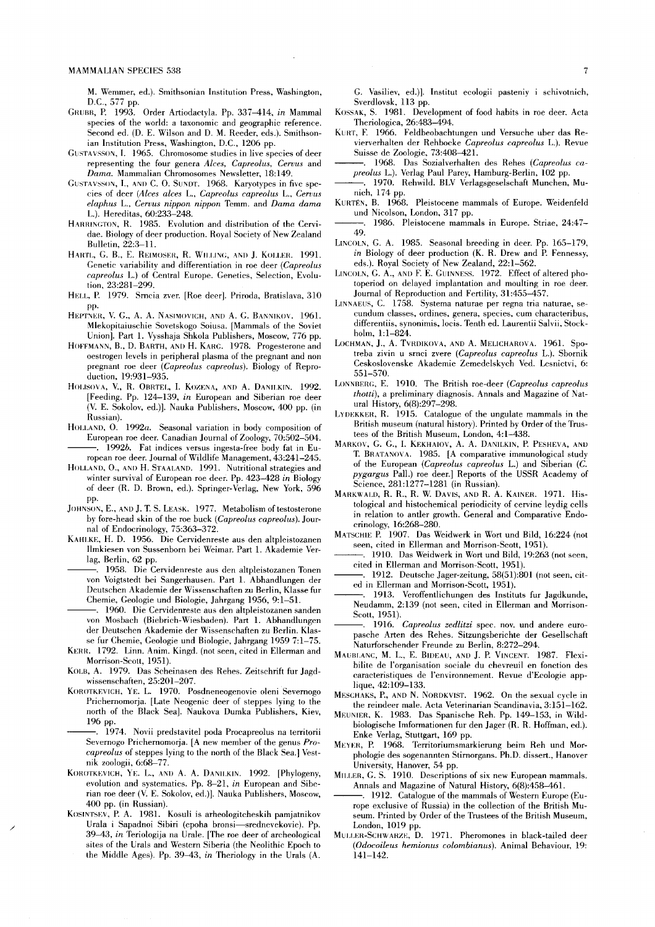M. Wemmer, ed.). Smithsonian Institution Press, Washington, D.C., 577 pp.

- GRUBB, P. 1993. Order Artiodactyla. Pp. 337-414, *in* Mammal species of the world: a taxonomie and geographic referenee. Second ed. (D. E. Wilson and D. M. Reeder, eds.). Smithsonian Institution Press, Washington, D.C., 1206 pp.
- GUSTAVSSON, I. 1965. Chromosome studies in live species of deer representing the four genera *Alces, Capreolus, Cervus* and *Dama.* Mammalian Chromosomes Newsletter, 18:149.
- GUSTAVSSON, 1., ANI) C. O. SUNDT. 1968. Karyotypes in five species of deer *(Alces alces L., Capreolus capreolus L., Cervus elaphus* L., *Cervus nippon nippon* Temm. and *Dama dama*  L.). Hereditas, 60:233-248.
- HARRINGTON, R. 1985. Evolution and distribution of the Cervidae. Biology of deer production. Royal Society of New Zealand Bulletin, 22:3-11.
- HARTL, G. B., E. REIMOSER, R. WHILING, AND J. KOLLER. 1991. Genetic variability and differentiation in roe deer *(Capreolus capreolus* L.) of Central Europe. Genetics, Selection, Evolution, 23:281-299.
- HELL, P. 1979. Srncia zver. [Roe deer]. Priroda, Bratislava, 310 pp.
- HEPTNER, V. G., A. A. NASIMOVICH, AND A. G. BANNIKOV. 1961. Mlekopitaiuschie Sovetskogo Soiusa. [Mammals of the Soviet Union]. Part 1. Vysshaja Shkola Publishers, Moscow, 776 pp.
- HOFFMANN, B., D. BARTH, AND H. KARC. 1978. Progesterone and oestrogen levels in peripheral plasma of the pregnant and non pregnant roe deer *(Capreolus eapreolus).* Biology of Reproduction, 19:931-935.
- HOLISOVA, V., R. OBRTEL, I. KOZENA, AND A. DANILKIN. 1992. [Feeding. Pp. 124-139, *in* European and Siberian roe deer (V. E. Sokolov, ed.)]. Nauka Publishers, Moscow, 400 pp. (in Russian).
- HOLLAND, O. *1992a.* Seasonal variation in body composition of European roe deer. Canadian Journal of Zoology, 70:502-504. ---. *1992b.* Fat indices versus ingesta-free body fat in European roe deer. Journal of Wildlife Management, 43:241-245.
- HOLLAND, O., AND H. STAALAND. 1991. Nutritional strategies and winter survival of European roe deer. Pp. 423-428 *in* Biology of deer (R. D. Brown, ed.). Springer-Verlag, New York, 596 pp.
- JOHNSON, E., AND J. T. S. LEASK. 1977. Metabolism of testosterone by fore-head skin of the roe buck *(Capreolus capreolus).* Journat of Endocrinology, 75:363-372.
- KAHLKE, H. D. 1956. Die Cervidenreste aus den altpleistozanen Ilmkiesen von Sussenborn bei Weimar. Part 1. Akademie Verlag, Berlin, 62 pp.
	- -. 1958. Die Cervidenreste aus den altpleistozanen Tonen von Voigtstedt bei Sangerhausen. Part 1. Abhandlungen der Deutschen Akademie der Wissenschaften zu Berlin, Klasse fur Chemie, Geologie und Biologie, Jahrgang 1956, 9:1-51.
	- -. 1960. Die Cervidenreste aus den altpleistozanen sanden von Mosbach (Biebrich-Wiesbaden). Part 1. Abhandlungen der Deutschen Akademie der Wissenschaften zu Berlin. Klasse fur Chemie, Geologie und Biologie, Jahrgang 19597:1-75.
- KERR. 1792. Linn. Anim. Kingd. (not seen, cited in Ellerman and Morrison-Scott, 1951).
- KOLB, A. 1979. Das Scheinasen des Rehes. Zeitschrift fur Jagdwissenschaften, 25:201-207.
- KOROTKEVICH, YE. L. 1970. Posdneneogenovie oleni Severnogo Prichernomorja. [Late Neogenic deer of steppes Iying to the north of the Black Sea]. Naukova Dumka Publishers, Kiev, 196 pp.
	- -. 1974. Novii predstavitel poda Procapreolus na territorii Severnogo Prichernomorja. [A new member of the genus *Proeapreolus* of steppes lying to the north of the Black Sea.] Vestnik zoologii, 6:68-77.
- KOROTKEVICH, YE. L., AND A. A. DANILKIN. 1992. [Phylogeny, evolution and systematics. Pp. 8-21, *in* European and Siberian roe deer (V. E. Sokolov, ed.)]. Nauka Publishers, Moscow, 400 pp. (in Russian).
- KOSINTSEV, P. A. 1981. Kosuli is arheologitcheskih pamjatnikov Urala i Sapadnoi Sibiri (epoha bronsi-srednevekovie). Pp. *39-43, in* Teriologija na Urale. [The roe deer of archeological sites of the Urals and Western Siberia (the Neolithic Epoch to the Middle Ages). Pp. 39-43, *in* Theriology in the Urals (A.

/

G. Vasiliev, ed.)]. Institut ecologii pasteniy i schivotnich, Sverdlovsk, 113 pp.

- KOSSAK, S. 1981. Development of food habits in roe deer. Acta Theriologica, 26:483-494.
- KURT, F. 1966. Feldbeobachtungen und Versuche uber das Revierverhalten der Rehbocke *Capreolus eapreolus* L.). Revue Suisse de Zoologie, 73:408-421.
- 1968. Das Sozialverhalten des Rehes *(Capreolus eapreolus* L.). Verlag Paul Parey, Hamburg-Berlin, 102 pp.
- ---. 1970. Rehwild. BLV Verlagsgeselschaft Munchen, Munich, 174 pp.
- KURTÉN, B. 1968. Pleistocene mammals of Europe. Weidenfeld und Nicolson, London, 317 pp.
- . 1986. Pleistocene mammals in Europe. Striae, 24:47-49.
- LINCOLN, G. A. 1985. Seasonal breeding in deer. Pp. 165-179, *in* Biology of deer production (K. R. Drew and P. Fennessy, eds.). Royal Society of New Zealand, 22:1-562.
- LINCOLN, G. A., AND F. E. GUINNESS. 1972. Effect of altered photoperiod on delayed implantation and moulting in roe deer. Journal of Reproduction and Fertility, 31:455-457.
- LINNAEUS, C. 1758. Systema naturae per regna tria naturae, secundum classes, ordines, genera, species, cum characteribus, differentiis, synonimis, locis. Tenth ed. Laurentii Salvii, Stockholm, 1:1-824.
- LOCHMAN, J., A. TVRDIKOVA, AND A. MELICHAROVA. 1961. Spotreba zivin u srnci zvere *(Capreolus capreolus* L.). Sbornik Ceskoslovenske Akademie Zemedelskych Ved. Lesnictvi, 6: 551-570.
- LONNBEHG, E. 1910. The British roe-deer *(Capreolus capreolus tholti),* a preliminary diagnosis. Annals and Magazine of Natural History, 6(8):297-298.
- LYDEKKEH, R. 1915. Catalogue of the ungulate mammals in the British museum (natural history). Printed by Order of the Trustees of the British Museum, London, 4:1-438.
- MAHKOV, G. G., I. KEKHAIOV, A. A. DANILKIN, P. PESHEVA, AND T. BRATANOVA. 1985. [A comparative immunological study of the European *(Capreolus capreolus L.)* and Siberian *(C. pygargus* Pall.) roe deer.] Reports of the USSR Academy of Science, 281:1277-1281 (in Russian).
- MARKWALD, R. R., R. W. DAVIS, AND R. A. KAINER. 1971. Histological and histochemical periodicity of cervine leydig eells in relation to antler growth. General and Comparative Endoerinology, 16:268-280.
- MATSCHIE P. 1907. Das Weidwerk in Wort und Bild, 16:224 (not seen, cited in Ellerman and Morrison-Seott, 1951).
- ---. 1910. Das Weidwerk in Wort und Bild, 19:263 (not seen, cited in Ellerman and Morrison-Scott, 1951).
- 1912. Deutsche Jager-zeitung, 58(51):801 (not seen, cited in Ellerman and Morrison-Scott, 1951).
- ---. 1913. Veroffentlichungen des Instituts fur Jagdkunde, Neudamm, 2:139 (not seen, cited in Ellerman and Morrison-Scott, 1951).
- ---. 1916. *Capreolus zedlitzi* spec. nov. und andere europasche Arten des Rehes. Sitzungsberiehte der Gese\lschaft Naturforschender Freunde zu Berlin, 8:272-294.
- MAUBLANC, M. L., E. BIDEAU, AND 1. P. VINCENT. 1987. Flexibilite de I'organisation sociale du chevreuil en fonction des caraeteristiques de I'environnement. Revue d'Ecologie applique, 42:109-133.
- MESCHAKS, P., AND N. NORDKVIST. 1962. On the sexual cycle in the reindeer male. Acta Veterinarian Scandinavia, 3:151-162.
- MEUNIER, K. 1983. Das Spanische Reh. Pp. 149-153, in Wildbiologische Imformationen fur den Jager (R. R. Hoffman, ed.). Enke Verlag, Stuttgart, 169 pp.
- MEYEH, P. 1968. Territoriumsmarkierung beim Reh und Morphologie des sogenannten Stirnorgans. Ph.D. dissert., Hanover University, Hanover, 54 pp.
- MILLER, G. S. 1910. Deseriptions of six new European mammals. Annals and Magazine of Natural History, 6(8):458-461.
- -. 1912. Catalogue of the mammals of Western Europe (Europe exclusive of Russia) in the collection of the British Museum. Printed by Order of the Trustees of the British Museum, London, 1019 pp.
- MULLEH-SCHW AHZE, D. 1971. Pheromones in black-tailed deer *(Odocoileus hemionus colombianus* ). Animal Behaviour, 19: 141-142.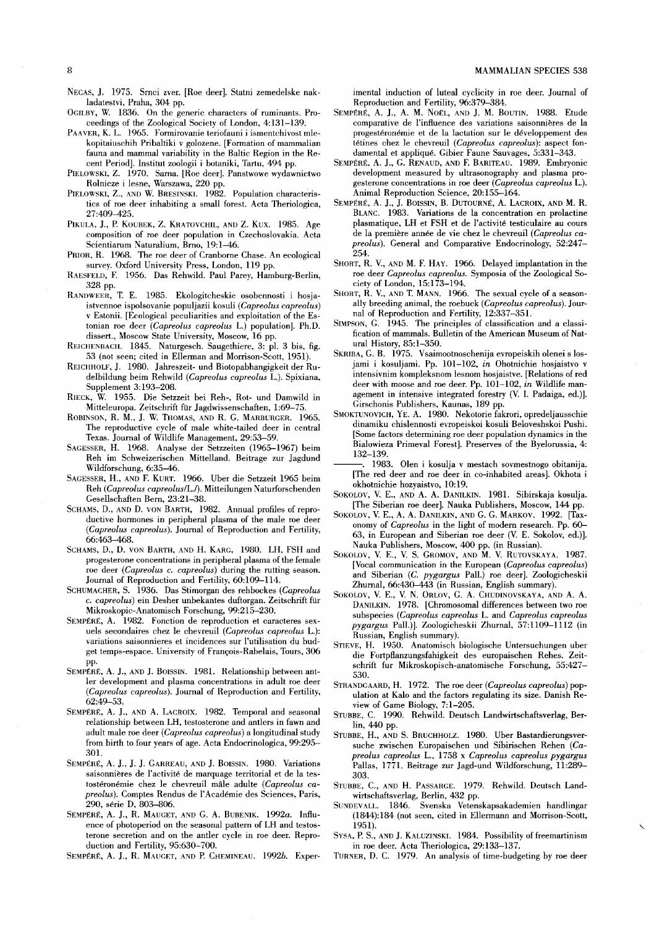- NECAS, J. 1975. Srnci zver. [Roe deer]. Statni zemedelske nakladatestvi, Praha, 304 pp.
- OGILBY, W. 1836. On the generic characters of ruminants. Proceedings of the Zoological Society of London, 4:131-139.
- PAAVER, K. L. 1965. Formirovanie teriofauni i ismentchivost mlekopitaiuschih Pribaltiki v golozene. [Formation of mammalian fauna and mammal variability in the Baltic Region in the Recent Period]. Institut zoologii i botaniki, Tartu, 494 pp.
- PIELOWSKI, Z. 1970. Sarna. [Roe deer]. Panstwowe wydawnictwo Rolnicze i lesne, Warszawa, 220 pp.
- PIELOWSKI, Z., AND W. BRESINSKI. 1982. Population characteristics of roe deer inhabiting a small forest. Acta Theriologica, 27:409-425.
- PIKULA, J., P. KOUBEK, Z. KRATOVCHIL, AND Z. KUX. 1985. Age composition of roe deer population in Czechoslovakia. Acta Scientiarum Naturalium, Brno, 19:1-46.
- PRIOR, R. 1968. The roe deer of Cranborne Chase. An ecological survey. Oxford University Press, London, 119 pp.
- RAESFELD, F. 1956. Das Rehwild. Paul Parey, Hamburg-Berlin, 328 pp.
- RANDWEER, T. E. 1985. Ekologitcheskie osobennosti i hosjaistvennoe ispolsovanie populjazii kosuli *(Capreolus capreolus)*  v Estonii. [Ecological peculiarities and exploitation of the Estonian roe deer *(Capreolus capreolus* L.) population]. Ph.D. dissert., *Moscow* State University, Moscow, 16 pp.
- REICHENBACH. 1845. Naturgesch. Saugethiere, 3: pl. 3 bis, fig. 53 (not seen; cited in Ellerman and Morrison-Scott, 1951).
- REICHHOLF, J. 1980. Jahreszeit- und Biotopabhangigkeit der Rudelbildung beim Rehwild *(Capreolus capreolus* L.). Spixiana, Supplement 3:193-208.
- RIECK, W. 1955. Die Setzzeit bei Reh-, Rot- und Damwild in Mitteleuropa. Zeitschrift für Jagdwissenschaften, 1:69-75.
- ROBINSON, R. M., J. W. THOMAS, AND R. G. MARBURGER. 1965. The reproductive cycle of male white-tailed deer in central Texas. Journal of Wildlife Management, 29:53-59.
- SAGESSER, H. 1968. Analyse der Setzzeiten (1965-1967) beim Reh im Schweizerischen Mittelland. Beitrage zur Jagdund Wildforschung, 6:35-46.
- SAGESSER, H., AND F. KURT. 1966. Uber die Setzzeit 1965 beim Reh *(Capreolus capreolus/L.f).* Mitteilungen Naturforschenden Gesellschaften Bern, 23:21-38.
- SCHAMS, D., AND D. VON BARTH, 1982. Annual profiles of reproductive hormones in peripheral plasma of the male roe deer (Capreolus capreolus). Journal of Reproduction and Fertility, 66:463-468.
- SCHAMS, D., D. VON BARTH, AND H. KARG, 1980. LH, FSH and progesterone concentrations in peripheral plasma of the female roe deer *(Capreolus c. capreolus)* during the rutting season. Journal of Reproduction and Fertility, 60:109-114.
- SCHUMACHER, S. 1936. Das Stimorgan des rehbockes *(Capreolus*  c. *capreolus)* ein Desher unbekantes duftorgan. Zeitschrift für Mikroskopic-Anatomisch Forschung, 99:215-230.
- SEMPÉRÉ, A. 1982. Fonction de reproduction et caracteres sexuels secondaires chez Ie chevreuil *(Capreolus capreolus* L.): variations saisonnieres et incidences sur I'utilisation du budget temps-espace. University of François-Rabelais, Tours, 306 pp.
- SEMPÉRÉ, A. J., AND J. BOlSSIN. 1981. Relationship between ant-Ier development and plasma concentrations in adult roe deer (Capreolus capreolus). Journal of Reproduction and Fertility, 62:49-53.
- SEMPÉRÉ, A. J., AND A. LACROIX. 1982. Temporal and seasonal relationship between LH, testosterone and antlers in fawn and adult male roe deer *(Capreolus capreolus)* a longitudinal study from birth to four years of age. Acta Endocrinologica, 99:295- 301.
- SEMPÉRÉ, A. J., J. J. GARREAU, AND J. BOISSIN. 1980. Variations saisonnières de I'activité de marquage territorial et de la testostéronémie chez Ie chevreuil male adulte *(Capreolus capreolus).* Comptes Rendus de I'Académie des Sciences, Paris, 290, série D, 803-806.
- SEMPÉRÉ, A. J., R. MAUGET, AND G. A. BUBENIK. *1992a.* Influence of photoperiod on the seasonal pattern of LH and testosterone secretion and on the antler cycle in roe deer. Reproduction and Fertility, 95:630-700.
- SEMPÉRÉ, A. J., R. MAUGET, AND P. CHEMINEAU. *1992b.* Exper-

imental induction of luteal cyclicity in roe deer. Journal of Reproduction and Fertility, 96:379-384.

- SEMPÉRÉ, A. J., A. M. NOËL, AND J. M. BOUTIN. 1988. Etude comparative de l'influence des variations saisonnières de la progestéronémie et de la lactation sur Ie développement des tétines chez Ie chevreuil *(Capreolus capreolus):* aspect fondamental et appliqué. Gibier Faune Sauvages, 5:331-343.
- SEMPÉRÉ, A. J., G. RENAUD, AND F. BARITEAU. 1989. Embryonic development measured by ultrasonography and plasma progesterone concentrations in roe deer *(Capreolus capreolus* L.). Animal Reproduction Science, 20:155-164.
- SEMPÉRÉ, A. J., J. BOlSSIN, B. DUTOURNÉ, A. LACROIX, AND M. R. BLANC. 1983. Variations de la concentration en prolactine plasmatique, LH et FSH et de l'activité testiculaire au cours de la première année de vie chez Ie chevreuil *(Capreolus capreolus).* General and Comparative Endocrinology, 52:247- 254.
- SHORT, R. V., AND M. F. HAY. 1966. Delayed implantation in the roe deer *Capreolus capreolus.* Symposia of the Zoological Society of London, 15:173-194.
- SHORT, R. V., AND T. MANN. 1966. The sexual cycle of a seasonally breeding animal, the roebuck *(Capreolus capreolus).* Journal of Reproduction and Fertility, 12:337-351.
- SIMPSON, G. 1945. The principles of classification and a classification of mammals. Bulletin of the American Museum of Natural History, 85:1-350.
- SKRIBA, G. B. 1975. Vsaimootnoschenija evropeiskih olenei s losjami i kosuljami. Pp. 101-102, *in* Ohotnichie hosjaistvo v intensivnim kompleksnom lesnom hosjaistve. [Relations ofred deer with moose and roe deer. Pp. 101-102, *in* Wildlife management in intensive integrated forestry (V. I. Padaiga, ed.)]. Girschonis Publishers, Kaunas, 189 pp.
- SMOKTUNOVICH, YE. A. 1980. Nekotorie fakrori, opredeljausschie dinamiku chislennosti evropeiskoi kosuli Beloveshskoi Pushi. [Some factors determining roe deer population dynamics in the Bialowieza Primeval Forest]. Preserves of the Byelorussia, 4: 132-139.
- 1983. Olen i kosulja v mestach sovmestnogo obitanija. [The red deer and roe deer in co-inhabited areas]. Okhota i okhotnichie hozyaistvo, 10:19.
- SOKOLOV, V. E., AND A. A. DANILKIN. 1981. Sibirskaja kosulja. [The Siberian roe deer]. Nauka Publishers, Moscow, 144 pp.
- SOKOLOV, V. E., A. A. DANILKIN, AND G. G. MARKOV. 1992. [Taxonomy of *Capreolus* in the light of modern research. Pp. 60- 63, in European and Siberian roe deer (V. E. Sokolov, ed.)]. Nauka Publishers, Moscow, 400 pp. (in Russian).
- SOKOLOV, V. E., V. S. GROMOV, AND M. V. RUTOVSKAYA. 1987. [Vocal communication in the European *(Capreolus capreolus)*  and Siberian (G. *pygargus* Pall.) roe deer]. Zoologicheskii Zhurnal, 66:430-443 (in Russian, English summary).
- SOKOLOV, V. E., V. N. ORLOV, G. A. CHUDINOVSKAYA, AND A. A. DANILKIN. 1978. [Chromosomal differences between two roe subspecies *(Capreolus capreolus* L. and *Capreolus capreolus pygargus* Pal!.)]. Zoologicheskii Zhurnal, 57:1109-1112 (in Russian, English summary).
- STIEVE, H. 1950. Anatomisch biologische Untersuchungen uber die Fortpflanzungsfahigkeit des europaischen Rehes. Zeitschrift fur Mikroskopisch-anatomische Forschung, 55:427- 530.
- STRANDGAARD, H. 1972. The *roe* deer *(Capreolus capreolus)* population at Kalo and the factors regulating its size. Danish Review of Game Biology, 7:1-205.
- STUBBE, C. 1990. Rehwild. Deutsch Landwirtschaftsverlag, Berlin, 440 pp.
- STUBBE, H., AND S. BRUCHHOLZ. 1980. Uber Bastardierungsversuche zwischen Europaischen und Sibirischen Rehen *(Capreolus capreolus* L., 1758 x *Capreolus capreolus pygargus*  Pallas, 1771. Beitrage zur Jagd-und Wildforschung, 11:289- 303.
- STUBBE, C., AND H. PASSARGE. 1979. Rehwild. Deutsch Landwirtschaftsverlag, Berlin, 432 pp.
- SUNDEV ALL. 1846. Svenska Vetenskapsakademien handlingar (1844):184 (not seen, cited in Ellermann and Morrison-Scott, 1951).
- SYSA, P. S., AND J. KALUZINSKI. 1984. Possibility of freemartinism in roe deer. Acta Theriologica, 29:133-137.
- TURNER, D. C. 1979. An analysis of time-budgeting by roe deer